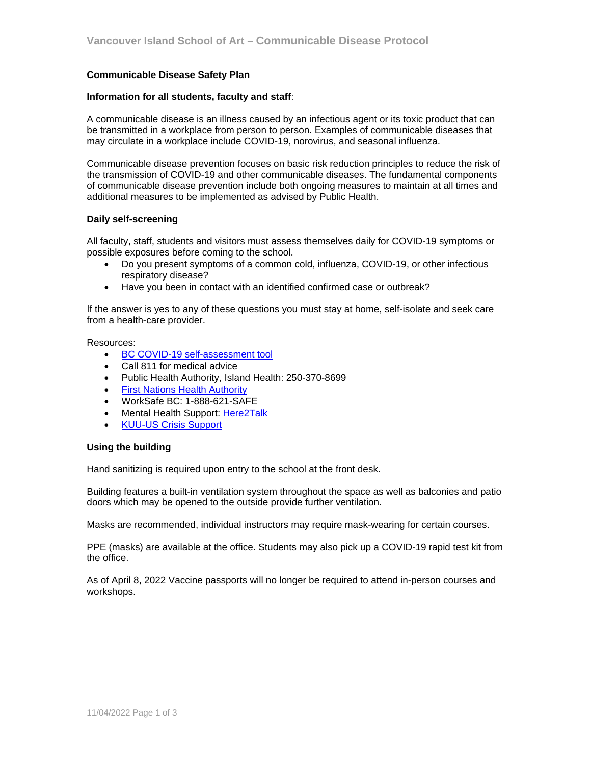## **Communicable Disease Safety Plan**

### **Information for all students, faculty and staff**:

A communicable disease is an illness caused by an infectious agent or its toxic product that can be transmitted in a workplace from person to person. Examples of communicable diseases that may circulate in a workplace include COVID-19, norovirus, and seasonal influenza.

Communicable disease prevention focuses on basic risk reduction principles to reduce the risk of the transmission of COVID-19 and other communicable diseases. The fundamental components of communicable disease prevention include both ongoing measures to maintain at all times and additional measures to be implemented as advised by Public Health.

### **Daily self-screening**

All faculty, staff, students and visitors must assess themselves daily for COVID-19 symptoms or possible exposures before coming to the school.

- Do you present symptoms of a common cold, influenza, COVID-19, or other infectious respiratory disease?
- Have you been in contact with an identified confirmed case or outbreak?

If the answer is yes to any of these questions you must stay at home, self-isolate and seek care from a health-care provider.

#### Resources:

- [BC COVID-19 self-assessment tool](https://bc.thrive.health/)
- Call 811 for medical advice
- Public Health Authority, Island Health: 250-370-8699
- **[First Nations Health Authority](https://www.fnha.ca/what-we-do/communicable-disease-control/coronavirus)**
- WorkSafe BC: 1-888-621-SAFE
- Mental Health Support: [Here2Talk](https://here2talk.ca/main)
- [KUU-US Crisis Support](https://www.kuu-uscrisisline.com/)

#### **Using the building**

Hand sanitizing is required upon entry to the school at the front desk.

Building features a built-in ventilation system throughout the space as well as balconies and patio doors which may be opened to the outside provide further ventilation.

Masks are recommended, individual instructors may require mask-wearing for certain courses.

PPE (masks) are available at the office. Students may also pick up a COVID-19 rapid test kit from the office.

As of April 8, 2022 Vaccine passports will no longer be required to attend in-person courses and workshops.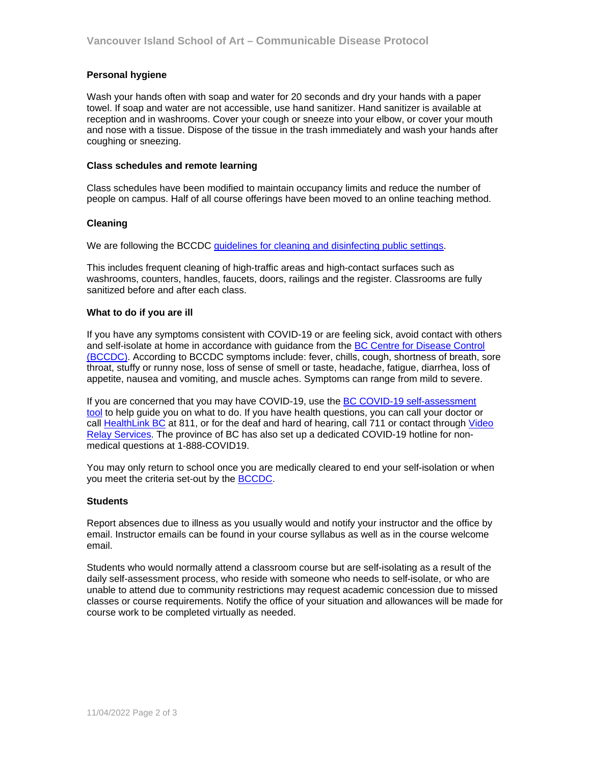# **Personal hygiene**

Wash your hands often with soap and water for 20 seconds and dry your hands with a paper towel. If soap and water are not accessible, use hand sanitizer. Hand sanitizer is available at reception and in washrooms. Cover your cough or sneeze into your elbow, or cover your mouth and nose with a tissue. Dispose of the tissue in the trash immediately and wash your hands after coughing or sneezing.

### **Class schedules and remote learning**

Class schedules have been modified to maintain occupancy limits and reduce the number of people on campus. Half of all course offerings have been moved to an online teaching method.

## **Cleaning**

We are following the BCCDC [guidelines for cleaning and disinfecting public settings.](http://www.bccdc.ca/health-info/diseases-conditions/covid-19/community-settings)

This includes frequent cleaning of high-traffic areas and high-contact surfaces such as washrooms, counters, handles, faucets, doors, railings and the register. Classrooms are fully sanitized before and after each class.

### **What to do if you are ill**

If you have any symptoms consistent with COVID-19 or are feeling sick, avoid contact with others and self-isolate at home in accordance with guidance from the [BC Centre for Disease Control](http://www.bccdc.ca/health-info/diseases-conditions/covid-19/self-isolation)  [\(BCCDC\)](http://www.bccdc.ca/health-info/diseases-conditions/covid-19/self-isolation). According to BCCDC symptoms include: fever, chills, cough, shortness of breath, sore throat, stuffy or runny nose, loss of sense of smell or taste, headache, fatigue, diarrhea, loss of appetite, nausea and vomiting, and muscle aches. Symptoms can range from mild to severe.

If you are concerned that you may have COVID-19, use the [BC COVID-19 self-assessment](https://covid19.thrive.health/)  [tool](https://covid19.thrive.health/) to help guide you on what to do. If you have health questions, you can call your doctor or call [HealthLink BC](https://www.healthlinkbc.ca/) at 811, or for the deaf and hard of hearing, call 711 or contact through Video [Relay Services.](https://srvcanadavrs.ca/en/) The province of BC has also set up a dedicated COVID-19 hotline for nonmedical questions at 1-888-COVID19.

You may only return to school once you are medically cleared to end your self-isolation or when you meet the criteria set-out by the [BCCDC](http://www.bccdc.ca/health-info/diseases-conditions/covid-19/self-isolation).

## **Students**

Report absences due to illness as you usually would and notify your instructor and the office by email. Instructor emails can be found in your course syllabus as well as in the course welcome email.

Students who would normally attend a classroom course but are self-isolating as a result of the daily self-assessment process, who reside with someone who needs to self-isolate, or who are unable to attend due to community restrictions may request academic concession due to missed classes or course requirements. Notify the office of your situation and allowances will be made for course work to be completed virtually as needed.